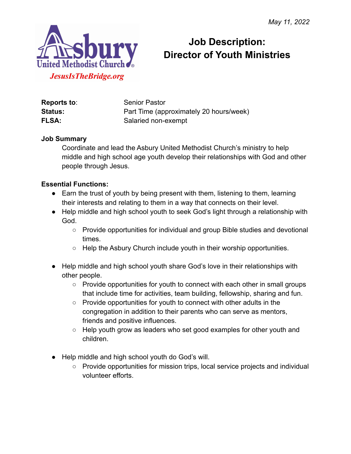

# **Job Description: Director of Youth Ministries**

| Reports to:    | <b>Senior Pastor</b>                    |
|----------------|-----------------------------------------|
| <b>Status:</b> | Part Time (approximately 20 hours/week) |
| <b>FLSA:</b>   | Salaried non-exempt                     |

#### **Job Summary**

Coordinate and lead the Asbury United Methodist Church's ministry to help middle and high school age youth develop their relationships with God and other people through Jesus.

#### **Essential Functions:**

- Earn the trust of youth by being present with them, listening to them, learning their interests and relating to them in a way that connects on their level.
- Help middle and high school youth to seek God's light through a relationship with God.
	- Provide opportunities for individual and group Bible studies and devotional times.
	- Help the Asbury Church include youth in their worship opportunities.
- Help middle and high school youth share God's love in their relationships with other people.
	- Provide opportunities for youth to connect with each other in small groups that include time for activities, team building, fellowship, sharing and fun.
	- Provide opportunities for youth to connect with other adults in the congregation in addition to their parents who can serve as mentors, friends and positive influences.
	- Help youth grow as leaders who set good examples for other youth and children.
- Help middle and high school youth do God's will.
	- Provide opportunities for mission trips, local service projects and individual volunteer efforts.